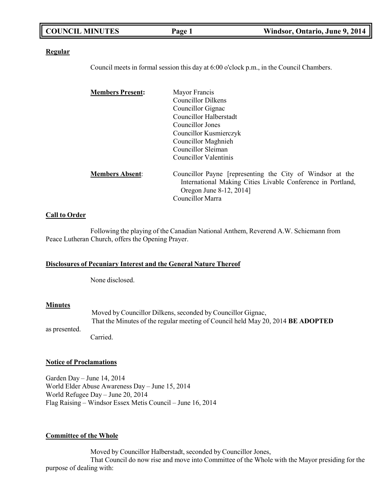| <b>COUNCIL MINUTES</b> | Page 1 | Windsor, Ontario, June 9, 2014 |
|------------------------|--------|--------------------------------|
|                        |        |                                |

#### **Regular**

Council meets in formal session this day at 6:00 o'clock p.m., in the Council Chambers.

| <b>Members Present:</b> | Mayor Francis                                                                                                            |
|-------------------------|--------------------------------------------------------------------------------------------------------------------------|
|                         | <b>Councillor Dilkens</b>                                                                                                |
|                         | Councillor Gignac                                                                                                        |
|                         | Councillor Halberstadt                                                                                                   |
|                         | Councillor Jones                                                                                                         |
|                         | Councillor Kusmierczyk                                                                                                   |
|                         | Councillor Maghnieh                                                                                                      |
|                         | Councillor Sleiman                                                                                                       |
|                         | Councillor Valentinis                                                                                                    |
| <b>Members Absent:</b>  | Councillor Payne [representing the City of Windsor at the<br>International Making Cities Livable Conference in Portland, |
|                         | Oregon June 8-12, 2014]                                                                                                  |
|                         | Councillor Marra                                                                                                         |
|                         |                                                                                                                          |

#### **Call to Order**

Following the playing of the Canadian National Anthem, Reverend A.W. Schiemann from Peace Lutheran Church, offers the Opening Prayer.

#### **Disclosures of Pecuniary Interest and the General Nature Thereof**

None disclosed.

#### **Minutes**

Moved by Councillor Dilkens, seconded by Councillor Gignac, That the Minutes of the regular meeting of Council held May 20, 2014 **BE ADOPTED** Carried.

# as presented.

#### **Notice of Proclamations**

Garden Day – June 14, 2014 World Elder Abuse Awareness Day – June 15, 2014 World Refugee Day – June 20, 2014 Flag Raising – Windsor Essex Metis Council – June 16, 2014

#### **Committee of the Whole**

Moved by Councillor Halberstadt, seconded by Councillor Jones, That Council do now rise and move into Committee of the Whole with the Mayor presiding for the purpose of dealing with: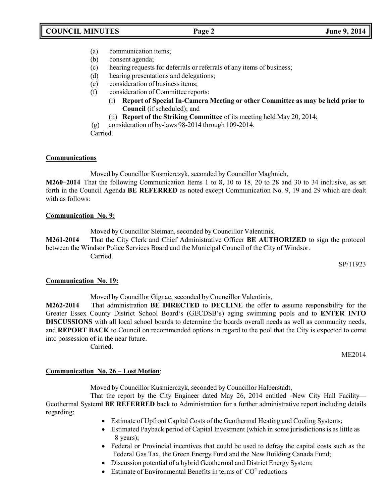- (a) communication items;
- (b) consent agenda;
- (c) hearing requests for deferrals or referrals of any items of business;
- (d) hearing presentations and delegations;
- (e) consideration of business items;
- (f) consideration of Committee reports:
	- (i) **Report of Special In-Camera Meeting or other Committee as may be held prior to Council** (if scheduled); and
	- (ii) **Report of the Striking Committee** of its meeting held May 20, 2014;

(g) consideration of by-laws 98-2014 through 109-2014.

Carried.

### **Communications**

Moved by Councillor Kusmierczyk, seconded by Councillor Maghnieh,

**M260–2014** That the following Communication Items 1 to 8, 10 to 18, 20 to 28 and 30 to 34 inclusive, as set forth in the Council Agenda **BE REFERRED** as noted except Communication No. 9, 19 and 29 which are dealt with as follows:

### **Communication No. 9:**

Moved by Councillor Sleiman, seconded by Councillor Valentinis, **M261-2014** That the City Clerk and Chief Administrative Officer **BE AUTHORIZED** to sign the protocol

between the Windsor Police Services Board and the Municipal Council of the City of Windsor. Carried.

SP/11923

#### **Communication No. 19:**

Moved by Councillor Gignac, seconded by Councillor Valentinis,

**M262-2014** That administration **BE DIRECTED** to **DECLINE** the offer to assume responsibility for the Greater Essex County District School Board's (GECDSB's) aging swimming pools and to **ENTER INTO DISCUSSIONS** with all local school boards to determine the boards overall needs as well as community needs, and **REPORT BACK** to Council on recommended options in regard to the pool that the City is expected to come into possession of in the near future.

Carried.

ME2014

## **Communication No. 26 – Lost Motion**:

Moved by Councillor Kusmierczyk, seconded by Councillor Halberstadt,

That the report by the City Engineer dated May 26, 2014 entitled -New City Hall Facility-Geothermal System‖ **BE REFERRED** back to Administration for a further administrative report including details regarding:

- Estimate of Upfront Capital Costs of the Geothermal Heating and Cooling Systems;
- Estimated Payback period of Capital Investment (which in some jurisdictions is as little as 8 years);
- Federal or Provincial incentives that could be used to defray the capital costs such as the Federal Gas Tax, the Green Energy Fund and the New Building Canada Fund;
- Discussion potential of a hybrid Geothermal and District Energy System;
- Estimate of Environmental Benefits in terms of  $CO<sup>2</sup>$  reductions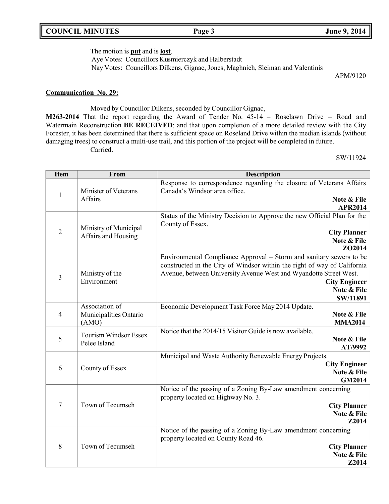## **COUNCIL MINUTES Page 3 June 9, 2014**

The motion is **put** and is **lost**.

Aye Votes: Councillors Kusmierczyk and Halberstadt

Nay Votes: Councillors Dilkens, Gignac, Jones, Maghnieh, Sleiman and Valentinis

APM/9120

### **Communication No. 29:**

Moved by Councillor Dilkens, seconded by Councillor Gignac,

**M263-2014** That the report regarding the Award of Tender No. 45-14 – Roselawn Drive – Road and Watermain Reconstruction **BE RECEIVED**; and that upon completion of a more detailed review with the City Forester, it has been determined that there is sufficient space on Roseland Drive within the median islands (without damaging trees) to construct a multi-use trail, and this portion of the project will be completed in future. Carried.

SW/11924

| <b>Item</b>    | From                                         | <b>Description</b>                                                                                    |
|----------------|----------------------------------------------|-------------------------------------------------------------------------------------------------------|
|                | Minister of Veterans                         | Response to correspondence regarding the closure of Veterans Affairs<br>Canada's Windsor area office. |
| 1              | Affairs                                      | Note & File                                                                                           |
|                |                                              | <b>APR2014</b>                                                                                        |
|                |                                              | Status of the Ministry Decision to Approve the new Official Plan for the                              |
|                | Ministry of Municipal                        | County of Essex.                                                                                      |
| $\overline{2}$ | Affairs and Housing                          | <b>City Planner</b>                                                                                   |
|                |                                              | Note & File<br>ZO2014                                                                                 |
|                |                                              | Environmental Compliance Approval - Storm and sanitary sewers to be                                   |
|                |                                              | constructed in the City of Windsor within the right of way of California                              |
| $\overline{3}$ | Ministry of the                              | Avenue, between University Avenue West and Wyandotte Street West.                                     |
|                | Environment                                  | <b>City Engineer</b>                                                                                  |
|                |                                              | Note & File                                                                                           |
|                | Association of                               | SW/11891                                                                                              |
| $\overline{4}$ | Municipalities Ontario                       | Economic Development Task Force May 2014 Update.<br>Note & File                                       |
|                | (AMO)                                        | <b>MMA2014</b>                                                                                        |
|                |                                              | Notice that the 2014/15 Visitor Guide is now available.                                               |
| 5              | <b>Tourism Windsor Essex</b><br>Pelee Island | Note & File                                                                                           |
|                |                                              | AT/9992                                                                                               |
|                |                                              | Municipal and Waste Authority Renewable Energy Projects.                                              |
| 6              | County of Essex                              | <b>City Engineer</b><br>Note & File                                                                   |
|                |                                              | <b>GM2014</b>                                                                                         |
|                |                                              | Notice of the passing of a Zoning By-Law amendment concerning                                         |
|                |                                              | property located on Highway No. 3.                                                                    |
| $\overline{7}$ | Town of Tecumseh                             | <b>City Planner</b>                                                                                   |
|                |                                              | Note & File                                                                                           |
|                |                                              | Z2014                                                                                                 |
|                |                                              | Notice of the passing of a Zoning By-Law amendment concerning                                         |
| 8              | Town of Tecumseh                             | property located on County Road 46.<br><b>City Planner</b>                                            |
|                |                                              | Note & File                                                                                           |
|                |                                              | Z2014                                                                                                 |
|                |                                              |                                                                                                       |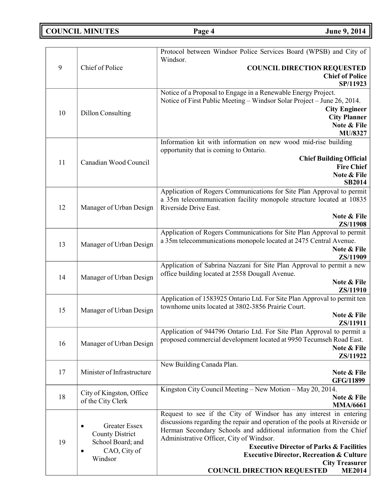**COUNCIL MINUTES Page 4 June 9, 2014** 

| 9  | Chief of Police                                                                                                          | Protocol between Windsor Police Services Board (WPSB) and City of<br>Windsor.<br><b>COUNCIL DIRECTION REQUESTED</b><br><b>Chief of Police</b><br>SP/11923                                                                                                                                                                                                                                                                                                         |
|----|--------------------------------------------------------------------------------------------------------------------------|-------------------------------------------------------------------------------------------------------------------------------------------------------------------------------------------------------------------------------------------------------------------------------------------------------------------------------------------------------------------------------------------------------------------------------------------------------------------|
| 10 | <b>Dillon Consulting</b>                                                                                                 | Notice of a Proposal to Engage in a Renewable Energy Project.<br>Notice of First Public Meeting – Windsor Solar Project – June 26, 2014.<br><b>City Engineer</b><br><b>City Planner</b><br>Note & File<br>MU/8327                                                                                                                                                                                                                                                 |
| 11 | Canadian Wood Council                                                                                                    | Information kit with information on new wood mid-rise building<br>opportunity that is coming to Ontario.<br><b>Chief Building Official</b><br><b>Fire Chief</b><br>Note & File<br><b>SB2014</b>                                                                                                                                                                                                                                                                   |
| 12 | Manager of Urban Design                                                                                                  | Application of Rogers Communications for Site Plan Approval to permit<br>a 35m telecommunication facility monopole structure located at 10835<br>Riverside Drive East.<br>Note & File<br>ZS/11908                                                                                                                                                                                                                                                                 |
| 13 | Manager of Urban Design                                                                                                  | Application of Rogers Communications for Site Plan Approval to permit<br>a 35m telecommunications monopole located at 2475 Central Avenue.<br>Note & File<br>ZS/11909                                                                                                                                                                                                                                                                                             |
| 14 | Manager of Urban Design                                                                                                  | Application of Sabrina Nazzani for Site Plan Approval to permit a new<br>office building located at 2558 Dougall Avenue.<br>Note & File<br>ZS/11910                                                                                                                                                                                                                                                                                                               |
| 15 | Manager of Urban Design                                                                                                  | Application of 1583925 Ontario Ltd. For Site Plan Approval to permit ten<br>townhome units located at 3802-3856 Prairie Court.<br>Note & File<br>ZS/11911                                                                                                                                                                                                                                                                                                         |
| 16 | Manager of Urban Design                                                                                                  | Application of 944796 Ontario Ltd. For Site Plan Approval to permit a<br>proposed commercial development located at 9950 Tecumseh Road East.<br>Note & File<br>ZS/11922                                                                                                                                                                                                                                                                                           |
| 17 | Minister of Infrastructure                                                                                               | New Building Canada Plan.<br>Note & File<br><b>GFG/11899</b>                                                                                                                                                                                                                                                                                                                                                                                                      |
| 18 | City of Kingston, Office<br>of the City Clerk                                                                            | Kingston City Council Meeting - New Motion - May 20, 2014.<br>Note & File<br><b>MMA/6661</b>                                                                                                                                                                                                                                                                                                                                                                      |
| 19 | <b>Greater Essex</b><br>$\bullet$<br><b>County District</b><br>School Board; and<br>CAO, City of<br>$\bullet$<br>Windsor | Request to see if the City of Windsor has any interest in entering<br>discussions regarding the repair and operation of the pools at Riverside or<br>Herman Secondary Schools and additional information from the Chief<br>Administrative Officer, City of Windsor.<br><b>Executive Director of Parks &amp; Facilities</b><br><b>Executive Director, Recreation &amp; Culture</b><br><b>City Treasurer</b><br><b>COUNCIL DIRECTION REQUESTED</b><br><b>ME2014</b> |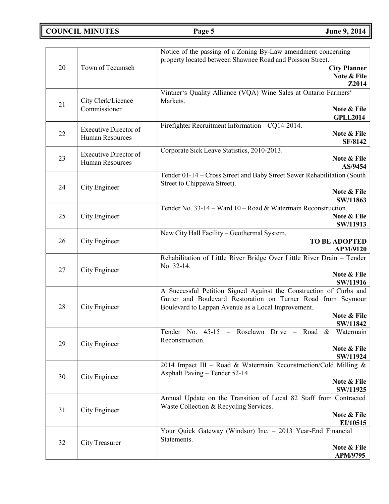**COUNCIL MINUTES Page 5 June 9, 2014**

| 32 | City Treasurer                                  | Note & File<br>APM/9795                                                                                                                                                                  |
|----|-------------------------------------------------|------------------------------------------------------------------------------------------------------------------------------------------------------------------------------------------|
|    |                                                 | EI/10515<br>Your Quick Gateway (Windsor) Inc. - 2013 Year-End Financial<br>Statements.                                                                                                   |
| 31 | City Engineer                                   | Annual Update on the Transition of Local 82 Staff from Contracted<br>Waste Collection & Recycling Services.<br>Note & File                                                               |
| 30 | City Engineer                                   | Asphalt Paving - Tender 52-14.<br>Note & File<br>SW/11925                                                                                                                                |
|    |                                                 | Note & File<br>SW/11924<br>2014 Impact III - Road & Watermain Reconstruction/Cold Milling &                                                                                              |
| 29 | City Engineer                                   | Tender No. 45-15 - Roselawn Drive - Road & Watermain<br>Reconstruction.                                                                                                                  |
|    |                                                 | Note & File<br>SW/11842                                                                                                                                                                  |
| 28 | City Engineer                                   | A Successful Petition Signed Against the Construction of Curbs and<br>Gutter and Boulevard Restoration on Turner Road from Seymour<br>Boulevard to Lappan Avenue as a Local Improvement. |
| 27 | City Engineer                                   | Note & File<br>SW/11916                                                                                                                                                                  |
|    |                                                 | Rehabilitation of Little River Bridge Over Little River Drain - Tender<br>No. 32-14.                                                                                                     |
| 26 | City Engineer                                   | New City Hall Facility - Geothermal System.<br><b>TO BE ADOPTED</b><br><b>APM/9120</b>                                                                                                   |
| 25 | City Engineer                                   | Tender No. 33-14 - Ward 10 - Road & Watermain Reconstruction.<br>Note & File<br>SW/11913                                                                                                 |
| 24 | City Engineer                                   | Note & File<br>SW/11863                                                                                                                                                                  |
|    |                                                 | Tender 01-14 - Cross Street and Baby Street Sewer Rehabilitation (South<br>Street to Chippawa Street).                                                                                   |
| 23 | <b>Executive Director of</b><br>Human Resources | Corporate Sick Leave Statistics, 2010-2013.<br>Note & File<br>AS/9454                                                                                                                    |
| 22 | Human Resources                                 | Note & File<br><b>SF/8142</b>                                                                                                                                                            |
|    | <b>Executive Director of</b>                    | <b>GPLL2014</b><br>Firefighter Recruitment Information - CQ14-2014.                                                                                                                      |
| 21 | City Clerk/Licence<br>Commissioner              | Vintner's Quality Alliance (VQA) Wine Sales at Ontario Farmers'<br>Markets.<br>Note & File                                                                                               |
| 20 | Town of Tecumseh                                | <b>City Planner</b><br>Note & File<br>Z2014                                                                                                                                              |
|    |                                                 | Notice of the passing of a Zoning By-Law amendment concerning<br>property located between Shawnee Road and Poisson Street.                                                               |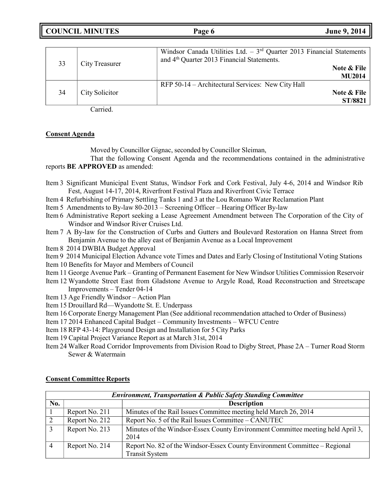**COUNCIL MINUTES Page 6 June 9, 2014**

| 33 | City Treasurer | Windsor Canada Utilities Ltd. $-3rd$ Quarter 2013 Financial Statements<br>and 4 <sup>th</sup> Quarter 2013 Financial Statements.<br>Note & File<br><b>MU2014</b> |
|----|----------------|------------------------------------------------------------------------------------------------------------------------------------------------------------------|
| 34 | City Solicitor | RFP 50-14 – Architectural Services: New City Hall<br>Note & File<br>ST/8821                                                                                      |

Carried.

#### **Consent Agenda**

Moved by Councillor Gignac, seconded by Councillor Sleiman,

That the following Consent Agenda and the recommendations contained in the administrative reports **BE APPROVED** as amended:

- Item 3 Significant Municipal Event Status, Windsor Fork and Cork Festival, July 4-6, 2014 and Windsor Rib Fest, August 14-17, 2014, Riverfront Festival Plaza and Riverfront Civic Terrace
- Item 4 Refurbishing of Primary Settling Tanks 1 and 3 at the Lou Romano Water Reclamation Plant
- Item 5 Amendments to By-law 80-2013 Screening Officer Hearing Officer By-law
- Item 6 Administrative Report seeking a Lease Agreement Amendment between The Corporation of the City of Windsor and Windsor River Cruises Ltd.
- Item 7 A By-law for the Construction of Curbs and Gutters and Boulevard Restoration on Hanna Street from Benjamin Avenue to the alley east of Benjamin Avenue as a Local Improvement
- Item 8 2014 DWBIA Budget Approval
- Item 9 2014 Municipal Election Advance vote Times and Dates and Early Closing of Institutional Voting Stations
- Item 10 Benefits for Mayor and Members of Council
- Item 11 George Avenue Park Granting of Permanent Easement for New Windsor Utilities Commission Reservoir
- Item 12 Wyandotte Street East from Gladstone Avenue to Argyle Road, Road Reconstruction and Streetscape Improvements – Tender 04-14
- Item 13 Age Friendly Windsor Action Plan
- Item 15 Drouillard Rd—Wyandotte St. E. Underpass
- Item 16 Corporate Energy Management Plan (See additional recommendation attached to Order of Business)
- Item 17 2014 Enhanced Capital Budget Community Investments WFCU Centre
- Item 18 RFP 43-14: Playground Design and Installation for 5 City Parks
- Item 19 Capital Project Variance Report as at March 31st, 2014
- Item 24 Walker Road Corridor Improvements from Division Road to Digby Street, Phase 2A Turner Road Storm Sewer & Watermain

|     | <b>Environment, Transportation &amp; Public Safety Standing Committee</b> |                                                                                                     |  |
|-----|---------------------------------------------------------------------------|-----------------------------------------------------------------------------------------------------|--|
| No. |                                                                           | <b>Description</b>                                                                                  |  |
|     | Report No. 211                                                            | Minutes of the Rail Issues Committee meeting held March 26, 2014                                    |  |
| 2   | Report No. 212                                                            | Report No. 5 of the Rail Issues Committee – CANUTEC                                                 |  |
|     | Report No. 213                                                            | Minutes of the Windsor-Essex County Environment Committee meeting held April 3,<br>2014             |  |
|     | Report No. 214                                                            | Report No. 82 of the Windsor-Essex County Environment Committee – Regional<br><b>Transit System</b> |  |

#### **Consent Committee Reports**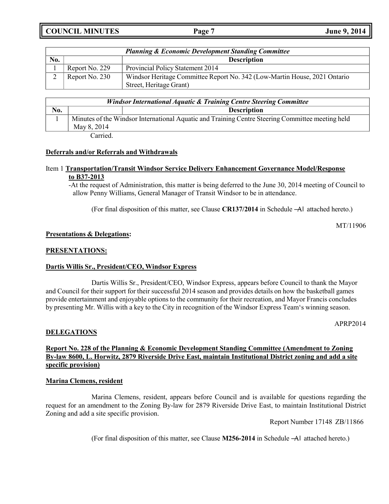**COUNCIL MINUTES Page 7 June 9, 2014**

|     |                | <b>Planning &amp; Economic Development Standing Committee</b>                                        |
|-----|----------------|------------------------------------------------------------------------------------------------------|
| No. |                | <b>Description</b>                                                                                   |
|     | Report No. 229 | <b>Provincial Policy Statement 2014</b>                                                              |
|     | Report No. 230 | Windsor Heritage Committee Report No. 342 (Low-Martin House, 2021 Ontario<br>Street, Heritage Grant) |

| Windsor International Aquatic & Training Centre Steering Committee |             |                                                                                                  |
|--------------------------------------------------------------------|-------------|--------------------------------------------------------------------------------------------------|
| No.                                                                |             | <b>Description</b>                                                                               |
|                                                                    | May 8, 2014 | Minutes of the Windsor International Aquatic and Training Centre Steering Committee meeting held |

Carried.

#### **Deferrals and/or Referrals and Withdrawals**

#### Item 1 **Transportation/Transit Windsor Service Delivery Enhancement Governance Model/Response to B37-2013**

-At the request of Administration, this matter is being deferred to the June 30, 2014 meeting of Council to allow Penny Williams, General Manager of Transit Windsor to be in attendance.

(For final disposition of this matter, see Clause **CR137/2014** in Schedule ―A‖ attached hereto.)

MT/11906

#### **Presentations & Delegations:**

#### **PRESENTATIONS:**

#### **Dartis Willis Sr., President/CEO, Windsor Express**

Dartis Willis Sr., President/CEO, Windsor Express, appears before Council to thank the Mayor and Council for their support for their successful 2014 season and provides details on how the basketball games provide entertainment and enjoyable options to the community for their recreation, and Mayor Francis concludes by presenting Mr. Willis with a key to the City in recognition of the Windsor Express Team's winning season.

APRP2014

### **DELEGATIONS**

### **Report No. 228 of the Planning & Economic Development Standing Committee (Amendment to Zoning By-law 8600, L. Horwitz, 2879 Riverside Drive East, maintain Institutional District zoning and add a site specific provision)**

#### **Marina Clemens, resident**

Marina Clemens, resident, appears before Council and is available for questions regarding the request for an amendment to the Zoning By-law for 2879 Riverside Drive East, to maintain Institutional District Zoning and add a site specific provision.

Report Number 17148 ZB/11866

(For final disposition of this matter, see Clause **M256-2014** in Schedule ―A‖ attached hereto.)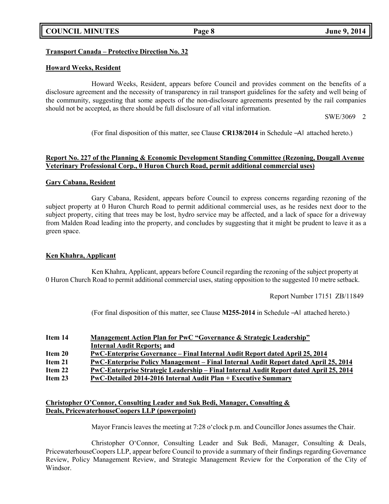## **COUNCIL MINUTES Page 8 June 9, 2014**

### **Transport Canada – Protective Direction No. 32**

### **Howard Weeks, Resident**

Howard Weeks, Resident, appears before Council and provides comment on the benefits of a disclosure agreement and the necessity of transparency in rail transport guidelines for the safety and well being of the community, suggesting that some aspects of the non-disclosure agreements presented by the rail companies should not be accepted, as there should be full disclosure of all vital information.

SWE/3069 2

(For final disposition of this matter, see Clause **CR138/2014** in Schedule ―A‖ attached hereto.)

### **Report No. 227 of the Planning & Economic Development Standing Committee (Rezoning, Dougall Avenue Veterinary Professional Corp., 0 Huron Church Road, permit additional commercial uses)**

### **Gary Cabana, Resident**

Gary Cabana, Resident, appears before Council to express concerns regarding rezoning of the subject property at 0 Huron Church Road to permit additional commercial uses, as he resides next door to the subject property, citing that trees may be lost, hydro service may be affected, and a lack of space for a driveway from Malden Road leading into the property, and concludes by suggesting that it might be prudent to leave it as a green space.

#### **Ken Khahra, Applicant**

Ken Khahra, Applicant, appears before Council regarding the rezoning of the subject property at 0 Huron Church Road to permit additional commercial uses, stating opposition to the suggested 10 metre setback.

Report Number 17151 ZB/11849

(For final disposition of this matter, see Clause **M255-2014** in Schedule ―A‖ attached hereto.)

| Item 14 | Management Action Plan for PwC "Governance & Strategic Leadership"                     |
|---------|----------------------------------------------------------------------------------------|
|         | <b>Internal Audit Reports; and</b>                                                     |
| Item 20 | PwC-Enterprise Governance – Final Internal Audit Report dated April 25, 2014           |
| Item 21 | PwC-Enterprise Policy Management – Final Internal Audit Report dated April 25, 2014    |
| Item 22 | PwC-Enterprise Strategic Leadership – Final Internal Audit Report dated April 25, 2014 |
| Item 23 | PwC-Detailed 2014-2016 Internal Audit Plan + Executive Summary                         |
|         |                                                                                        |

### **Christopher O'Connor, Consulting Leader and Suk Bedi, Manager, Consulting & Deals, PricewaterhouseCoopers LLP (powerpoint)**

Mayor Francis leaves the meeting at 7:28 o'clock p.m. and Councillor Jones assumes the Chair.

Christopher O'Connor, Consulting Leader and Suk Bedi, Manager, Consulting & Deals, PricewaterhouseCoopers LLP, appear before Council to provide a summary of their findings regarding Governance Review, Policy Management Review, and Strategic Management Review for the Corporation of the City of Windsor.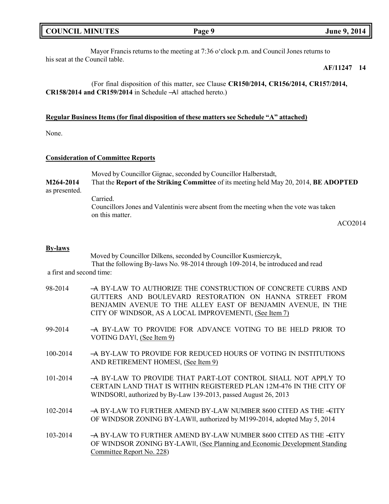| <b>COUNCIL MINUTES</b> |  |
|------------------------|--|
|------------------------|--|

Mayor Francis returns to the meeting at 7:36 o'clock p.m. and Council Jones returns to his seat at the Council table.

### **AF/11247 14**

(For final disposition of this matter, see Clause **CR150/2014, CR156/2014, CR157/2014, CR158/2014 and CR159/2014** in Schedule ―A‖ attached hereto.)

### **Regular Business Items (for final disposition of these matters see Schedule "A" attached)**

None.

#### **Consideration of Committee Reports**

|               | Moved by Councillor Gignac, seconded by Councillor Halberstadt,                                          |
|---------------|----------------------------------------------------------------------------------------------------------|
| M264-2014     | That the Report of the Striking Committee of its meeting held May 20, 2014, BE ADOPTED                   |
| as presented. |                                                                                                          |
|               | Carried.                                                                                                 |
|               | Councillors Jones and Valentinis were absent from the meeting when the vote was taken<br>on this matter. |

ACO2014

#### **By-laws**

Moved by Councillor Dilkens, seconded by Councillor Kusmierczyk, That the following By-laws No. 98-2014 through 109-2014, be introduced and read a first and second time:

| 98-2014  | A BY-LAW TO AUTHORIZE THE CONSTRUCTION OF CONCRETE CURBS AND<br>GUTTERS AND BOULEVARD RESTORATION ON HANNA STREET FROM<br>BENJAMIN AVENUE TO THE ALLEY EAST OF BENJAMIN AVENUE, IN THE<br>CITY OF WINDSOR, AS A LOCAL IMPROVEMENTI, (See Item 7) |
|----------|--------------------------------------------------------------------------------------------------------------------------------------------------------------------------------------------------------------------------------------------------|
| 99-2014  | A BY-LAW TO PROVIDE FOR ADVANCE VOTING TO BE HELD PRIOR TO<br>VOTING DAY, (See Item 9)                                                                                                                                                           |
| 100-2014 | $-$ A BY-LAW TO PROVIDE FOR REDUCED HOURS OF VOTING IN INSTITUTIONS<br>AND RETIREMENT HOMES, (See Item 9)                                                                                                                                        |
| 101-2014 | A BY-LAW TO PROVIDE THAT PART-LOT CONTROL SHALL NOT APPLY TO<br>CERTAIN LAND THAT IS WITHIN REGISTERED PLAN 12M-476 IN THE CITY OF<br>WINDSORI, authorized by By-Law 139-2013, passed August 26, 2013                                            |
| 102-2014 | $\rightarrow$ BY-LAW TO FURTHER AMEND BY-LAW NUMBER 8600 CITED AS THE $\leftarrow$ CITY<br>OF WINDSOR ZONING BY-LAW  , authorized by M199-2014, adopted May 5, 2014                                                                              |
| 103-2014 | $\rightarrow$ BY-LAW TO FURTHER AMEND BY-LAW NUMBER 8600 CITED AS THE $\leftarrow$ CITY<br>OF WINDSOR ZONING BY-LAWII, (See Planning and Economic Development Standing<br>Committee Report No. 228)                                              |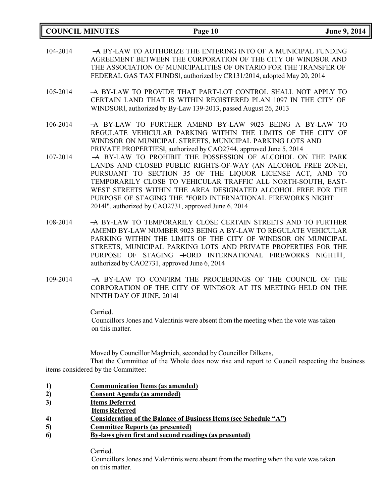| <b>COUNCIL MINUTES</b> | Page 10                                                                                                                                                                                                                                                                                                                                                                                                                                        | June 9, 2014 |
|------------------------|------------------------------------------------------------------------------------------------------------------------------------------------------------------------------------------------------------------------------------------------------------------------------------------------------------------------------------------------------------------------------------------------------------------------------------------------|--------------|
| 104-2014               | -A BY-LAW TO AUTHORIZE THE ENTERING INTO OF A MUNICIPAL FUNDING<br>AGREEMENT BETWEEN THE CORPORATION OF THE CITY OF WINDSOR AND<br>THE ASSOCIATION OF MUNICIPALITIES OF ONTARIO FOR THE TRANSFER OF<br>FEDERAL GAS TAX FUNDSI, authorized by CR131/2014, adopted May 20, 2014                                                                                                                                                                  |              |
| 105-2014               | A BY-LAW TO PROVIDE THAT PART-LOT CONTROL SHALL NOT APPLY TO<br>CERTAIN LAND THAT IS WITHIN REGISTERED PLAN 1097 IN THE CITY OF<br>WINDSORI, authorized by By-Law 139-2013, passed August 26, 2013                                                                                                                                                                                                                                             |              |
| 106-2014               | A BY-LAW TO FURTHER AMEND BY-LAW 9023 BEING A BY-LAW TO<br>REGULATE VEHICULAR PARKING WITHIN THE LIMITS OF THE CITY OF<br>WINDSOR ON MUNICIPAL STREETS, MUNICIPAL PARKING LOTS AND<br>PRIVATE PROPERTIESI, authorized by CAO2744, approved June 5, 2014                                                                                                                                                                                        |              |
| 107-2014               | A BY-LAW TO PROHIBIT THE POSSESSION OF ALCOHOL ON THE PARK<br>LANDS AND CLOSED PUBLIC RIGHTS-OF-WAY (AN ALCOHOL FREE ZONE),<br>PURSUANT TO SECTION 35 OF THE LIQUOR LICENSE ACT, AND TO<br>TEMPORARILY CLOSE TO VEHICULAR TRAFFIC ALL NORTH-SOUTH, EAST-<br>WEST STREETS WITHIN THE AREA DESIGNATED ALCOHOL FREE FOR THE<br>PURPOSE OF STAGING THE "FORD INTERNATIONAL FIREWORKS NIGHT<br>2014l", authorized by CAO2731, approved June 6, 2014 |              |
| 108-2014               | A BY-LAW TO TEMPORARILY CLOSE CERTAIN STREETS AND TO FURTHER<br>AMEND BY-LAW NUMBER 9023 BEING A BY-LAW TO REGULATE VEHICULAR<br>PARKING WITHIN THE LIMITS OF THE CITY OF WINDSOR ON MUNICIPAL<br>STREETS, MUNICIPAL PARKING LOTS AND PRIVATE PROPERTIES FOR THE<br>PURPOSE OF STAGING +ORD INTERNATIONAL FIREWORKS NIGHTII,<br>authorized by CAO2731, approved June 6, 2014                                                                   |              |
| 109-2014               | -A BY-LAW TO CONFIRM THE PROCEEDINGS OF THE COUNCIL OF THE<br>CORPORATION OF THE CITY OF WINDSOR AT ITS MEETING HELD ON THE                                                                                                                                                                                                                                                                                                                    |              |

CORPORATION OF THE CITY OF WINDSOR AT ITS MEETING HELD ON THE NINTH DAY OF JUNE, 2014‖

Carried.

Councillors Jones and Valentinis were absent from the meeting when the vote was taken on this matter.

Moved by Councillor Maghnieh, seconded by Councillor Dilkens,

That the Committee of the Whole does now rise and report to Council respecting the business items considered by the Committee:

- **1) Communication Items (as amended)**
- **2) Consent Agenda (as amended)**
- **3) Items Deferred**
- **Items Referred**
- **4) Consideration of the Balance of Business Items (see Schedule "A")**
- **5) Committee Reports (as presented)**
- **6) By-laws given first and second readings (as presented)**

Carried.

Councillors Jones and Valentinis were absent from the meeting when the vote was taken on this matter.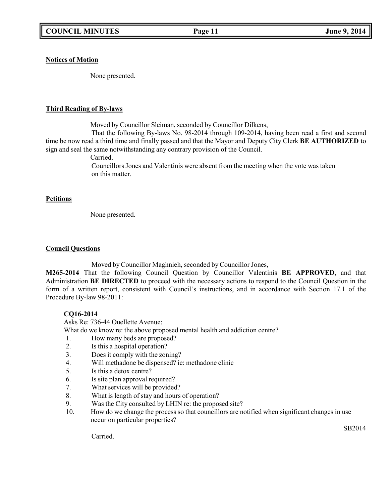### **Notices of Motion**

None presented.

### **Third Reading of By-laws**

Moved by Councillor Sleiman, seconded by Councillor Dilkens,

That the following By-laws No. 98-2014 through 109-2014, having been read a first and second time be now read a third time and finally passed and that the Mayor and Deputy City Clerk **BE AUTHORIZED** to sign and seal the same notwithstanding any contrary provision of the Council.

Carried.

Councillors Jones and Valentinis were absent from the meeting when the vote was taken on this matter.

### **Petitions**

None presented.

### **Council Questions**

Moved by Councillor Maghnieh, seconded by Councillor Jones,

**M265-2014** That the following Council Question by Councillor Valentinis **BE APPROVED**, and that Administration **BE DIRECTED** to proceed with the necessary actions to respond to the Council Question in the form of a written report, consistent with Council's instructions, and in accordance with Section 17.1 of the Procedure By-law 98-2011:

## **CQ16-2014**

Asks Re: 736-44 Ouellette Avenue:

What do we know re: the above proposed mental health and addiction centre?

- 1. How many beds are proposed?
- 2. Is this a hospital operation?
- 3. Does it comply with the zoning?
- 4. Will methadone be dispensed? ie: methadone clinic
- 5. Is this a detox centre?
- 6. Is site plan approval required?
- 7. What services will be provided?
- 8. What is length of stay and hours of operation?
- 9. Was the City consulted by LHIN re: the proposed site?
- 10. How do we change the process so that councillors are notified when significant changes in use occur on particular properties?

SB2014

Carried.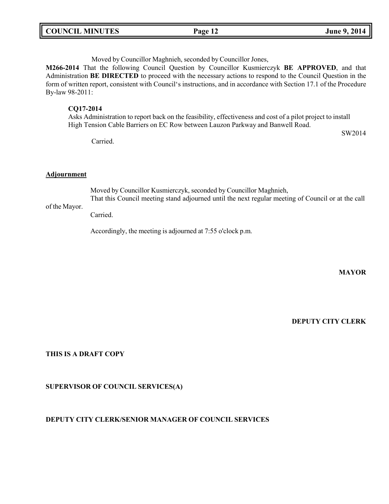| <b>COUNCIL MINUTES</b> | Page 12 | June 9, 2014 |
|------------------------|---------|--------------|
|                        |         |              |

Moved by Councillor Maghnieh, seconded by Councillor Jones,

**M266-2014** That the following Council Question by Councillor Kusmierczyk **BE APPROVED**, and that Administration **BE DIRECTED** to proceed with the necessary actions to respond to the Council Question in the form of written report, consistent with Council's instructions, and in accordance with Section 17.1 of the Procedure By-law 98-2011:

#### **CQ17-2014**

Asks Administration to report back on the feasibility, effectiveness and cost of a pilot project to install High Tension Cable Barriers on EC Row between Lauzon Parkway and Banwell Road.

Carried.

SW2014

#### **Adjournment**

Moved by Councillor Kusmierczyk, seconded by Councillor Maghnieh,

of the Mayor. That this Council meeting stand adjourned until the next regular meeting of Council or at the call

Carried.

Accordingly, the meeting is adjourned at 7:55 o'clock p.m.

**MAYOR**

**DEPUTY CITY CLERK**

### **THIS IS A DRAFT COPY**

#### **SUPERVISOR OF COUNCIL SERVICES(A)**

### **DEPUTY CITY CLERK/SENIOR MANAGER OF COUNCIL SERVICES**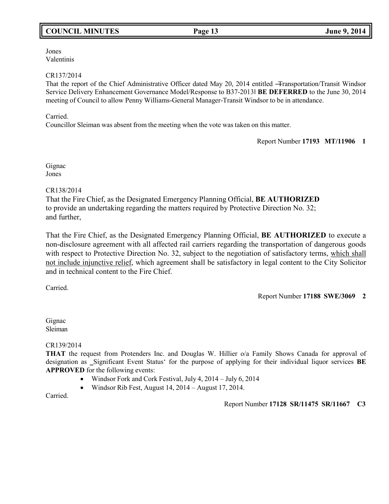## **COUNCIL MINUTES Page 13 June 9, 2014**

Jones Valentinis

### CR137/2014

That the report of the Chief Administrative Officer dated May 20, 2014 entitled -Transportation/Transit Windsor Service Delivery Enhancement Governance Model/Response to B37-2013‖ **BE DEFERRED** to the June 30, 2014 meeting of Council to allow Penny Williams-General Manager-Transit Windsor to be in attendance.

### Carried.

Councillor Sleiman was absent from the meeting when the vote was taken on this matter.

Report Number **17193 MT/11906 1**

Gignac Jones

#### CR138/2014

That the Fire Chief, as the Designated Emergency Planning Official, **BE AUTHORIZED** to provide an undertaking regarding the matters required by Protective Direction No. 32; and further,

That the Fire Chief, as the Designated Emergency Planning Official, **BE AUTHORIZED** to execute a non-disclosure agreement with all affected rail carriers regarding the transportation of dangerous goods with respect to Protective Direction No. 32, subject to the negotiation of satisfactory terms, which shall not include injunctive relief, which agreement shall be satisfactory in legal content to the City Solicitor and in technical content to the Fire Chief.

Carried.

Report Number **17188 SWE/3069 2**

Gignac Sleiman

CR139/2014

**THAT** the request from Protenders Inc. and Douglas W. Hillier o/a Family Shows Canada for approval of designation as Significant Event Status' for the purpose of applying for their individual liquor services **BE APPROVED** for the following events:

- Windsor Fork and Cork Festival, July 4, 2014 July 6, 2014
- Windsor Rib Fest, August 14, 2014 August 17, 2014.

Carried.

Report Number **17128 SR/11475 SR/11667 C3**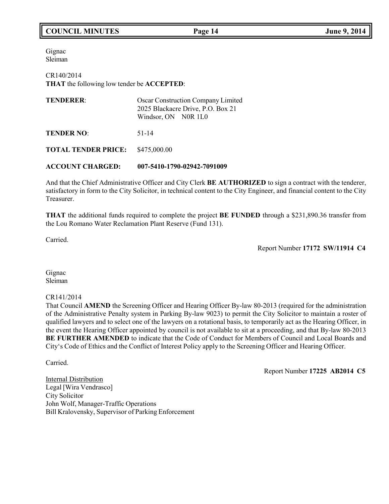## **COUNCIL MINUTES Page 14 June 9, 2014**

Gignac Sleiman

CR140/2014 **THAT** the following low tender be **ACCEPTED**:

| <b>TENDERER:</b>           | Oscar Construction Company Limited<br>2025 Blackacre Drive, P.O. Box 21<br>Windsor, ON NOR 1L0 |
|----------------------------|------------------------------------------------------------------------------------------------|
| <b>TENDER NO:</b>          | 51-14                                                                                          |
| <b>TOTAL TENDER PRICE:</b> | \$475,000.00                                                                                   |

**ACCOUNT CHARGED: 007-5410-1790-02942-7091009**

And that the Chief Administrative Officer and City Clerk **BE AUTHORIZED** to sign a contract with the tenderer, satisfactory in form to the City Solicitor, in technical content to the City Engineer, and financial content to the City Treasurer.

**THAT** the additional funds required to complete the project **BE FUNDED** through a \$231,890.36 transfer from the Lou Romano Water Reclamation Plant Reserve (Fund 131).

Carried.

Report Number **17172 SW/11914 C4**

Gignac Sleiman

CR141/2014

That Council **AMEND** the Screening Officer and Hearing Officer By-law 80-2013 (required for the administration of the Administrative Penalty system in Parking By-law 9023) to permit the City Solicitor to maintain a roster of qualified lawyers and to select one of the lawyers on a rotational basis, to temporarily act as the Hearing Officer, in the event the Hearing Officer appointed by council is not available to sit at a proceeding, and that By-law 80-2013 **BE FURTHER AMENDED** to indicate that the Code of Conduct for Members of Council and Local Boards and City's Code of Ethics and the Conflict of Interest Policy apply to the Screening Officer and Hearing Officer.

Carried.

Report Number **17225 AB2014 C5**

Internal Distribution Legal [Wira Vendrasco] City Solicitor John Wolf, Manager-Traffic Operations Bill Kralovensky, Supervisor of Parking Enforcement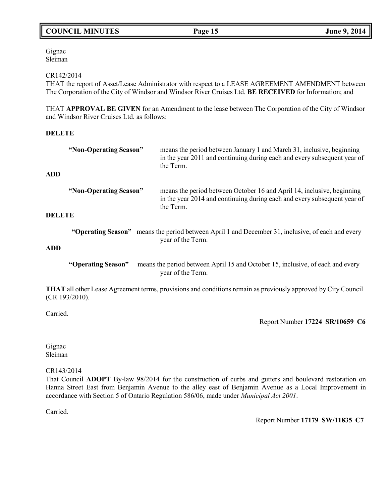## **COUNCIL MINUTES Page 15 June 9, 2014**

Gignac Sleiman

#### CR142/2014

THAT the report of Asset/Lease Administrator with respect to a LEASE AGREEMENT AMENDMENT between The Corporation of the City of Windsor and Windsor River Cruises Ltd. **BE RECEIVED** for Information; and

THAT **APPROVAL BE GIVEN** for an Amendment to the lease between The Corporation of the City of Windsor and Windsor River Cruises Ltd. as follows:

#### **DELETE**

| <b>ADD</b>    | "Non-Operating Season" | means the period between January 1 and March 31, inclusive, beginning<br>in the year 2011 and continuing during each and every subsequent year of<br>the Term.  |
|---------------|------------------------|-----------------------------------------------------------------------------------------------------------------------------------------------------------------|
| <b>DELETE</b> | "Non-Operating Season" | means the period between October 16 and April 14, inclusive, beginning<br>in the year 2014 and continuing during each and every subsequent year of<br>the Term. |
| <b>ADD</b>    |                        | "Operating Season" means the period between April 1 and December 31, inclusive, of each and every<br>year of the Term.                                          |
|               | "Operating Season"     | means the period between April 15 and October 15, inclusive, of each and every<br>year of the Term.                                                             |

**THAT** all other Lease Agreement terms, provisions and conditions remain as previously approved by City Council (CR 193/2010).

Carried.

Report Number **17224 SR/10659 C6**

Gignac Sleiman

CR143/2014

That Council **ADOPT** By-law 98/2014 for the construction of curbs and gutters and boulevard restoration on Hanna Street East from Benjamin Avenue to the alley east of Benjamin Avenue as a Local Improvement in accordance with Section 5 of Ontario Regulation 586/06, made under *Municipal Act 2001*.

Carried.

Report Number **17179 SW/11835 C7**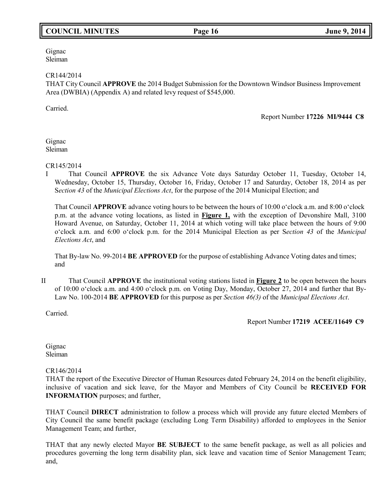## **COUNCIL MINUTES Page 16 June 9, 2014**

Gignac Sleiman

#### CR144/2014

THAT City Council **APPROVE** the 2014 Budget Submission for the Downtown Windsor Business Improvement Area (DWBIA) (Appendix A) and related levy request of \$545,000.

Carried.

Report Number **17226 MI/9444 C8**

Gignac Sleiman

#### CR145/2014

I That Council **APPROVE** the six Advance Vote days Saturday October 11, Tuesday, October 14, Wednesday, October 15, Thursday, October 16, Friday, October 17 and Saturday, October 18, 2014 as per S*ection 43* of the *Municipal Elections Act*, for the purpose of the 2014 Municipal Election; and

That Council **APPROVE** advance voting hours to be between the hours of 10:00 o'clock a.m. and 8:00 o'clock p.m. at the advance voting locations, as listed in **Figure 1,** with the exception of Devonshire Mall, 3100 Howard Avenue, on Saturday, October 11, 2014 at which voting will take place between the hours of 9:00 o'clock a.m. and 6:00 o'clock p.m. for the 2014 Municipal Election as per S*ection 43* of the *Municipal Elections Act*, and

That By-law No. 99-2014 **BE APPROVED** for the purpose of establishing Advance Voting dates and times; and

II That Council **APPROVE** the institutional voting stations listed in **Figure 2** to be open between the hours of 10:00 o'clock a.m. and 4:00 o'clock p.m. on Voting Day, Monday, October 27, 2014 and further that By-Law No. 100-2014 **BE APPROVED** for this purpose as per *Section 46(3)* of the *Municipal Elections Act*.

Carried.

Report Number **17219 ACEE/11649 C9**

Gignac Sleiman

CR146/2014

THAT the report of the Executive Director of Human Resources dated February 24, 2014 on the benefit eligibility, inclusive of vacation and sick leave, for the Mayor and Members of City Council be **RECEIVED FOR INFORMATION** purposes; and further,

THAT Council **DIRECT** administration to follow a process which will provide any future elected Members of City Council the same benefit package (excluding Long Term Disability) afforded to employees in the Senior Management Team; and further,

THAT that any newly elected Mayor **BE SUBJECT** to the same benefit package, as well as all policies and procedures governing the long term disability plan, sick leave and vacation time of Senior Management Team; and,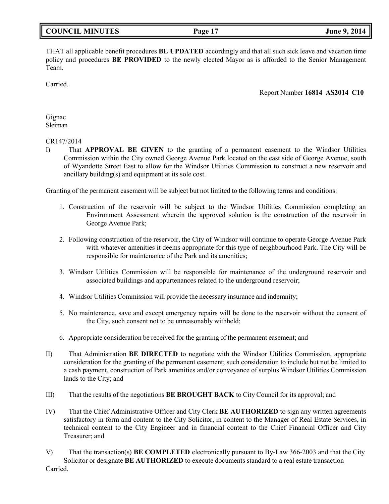THAT all applicable benefit procedures **BE UPDATED** accordingly and that all such sick leave and vacation time policy and procedures **BE PROVIDED** to the newly elected Mayor as is afforded to the Senior Management Team.

Carried.

Report Number **16814 AS2014 C10**

Gignac Sleiman

#### CR147/2014

I) That **APPROVAL BE GIVEN** to the granting of a permanent easement to the Windsor Utilities Commission within the City owned George Avenue Park located on the east side of George Avenue, south of Wyandotte Street East to allow for the Windsor Utilities Commission to construct a new reservoir and ancillary building(s) and equipment at its sole cost.

Granting of the permanent easement will be subject but not limited to the following terms and conditions:

- 1. Construction of the reservoir will be subject to the Windsor Utilities Commission completing an Environment Assessment wherein the approved solution is the construction of the reservoir in George Avenue Park;
- 2. Following construction of the reservoir, the City of Windsor will continue to operate George Avenue Park with whatever amenities it deems appropriate for this type of neighbourhood Park. The City will be responsible for maintenance of the Park and its amenities;
- 3. Windsor Utilities Commission will be responsible for maintenance of the underground reservoir and associated buildings and appurtenances related to the underground reservoir;
- 4. Windsor Utilities Commission will provide the necessary insurance and indemnity;
- 5. No maintenance, save and except emergency repairs will be done to the reservoir without the consent of the City, such consent not to be unreasonably withheld;
- 6. Appropriate consideration be received for the granting of the permanent easement; and
- II) That Administration **BE DIRECTED** to negotiate with the Windsor Utilities Commission, appropriate consideration for the granting of the permanent easement; such consideration to include but not be limited to a cash payment, construction of Park amenities and/or conveyance of surplus Windsor Utilities Commission lands to the City; and
- III) That the results of the negotiations **BE BROUGHT BACK** to City Council for its approval; and
- IV) That the Chief Administrative Officer and City Clerk **BE AUTHORIZED** to sign any written agreements satisfactory in form and content to the City Solicitor, in content to the Manager of Real Estate Services, in technical content to the City Engineer and in financial content to the Chief Financial Officer and City Treasurer; and
- V) That the transaction(s) **BE COMPLETED** electronically pursuant to By-Law 366-2003 and that the City Solicitor or designate **BE AUTHORIZED** to execute documents standard to a real estate transaction Carried.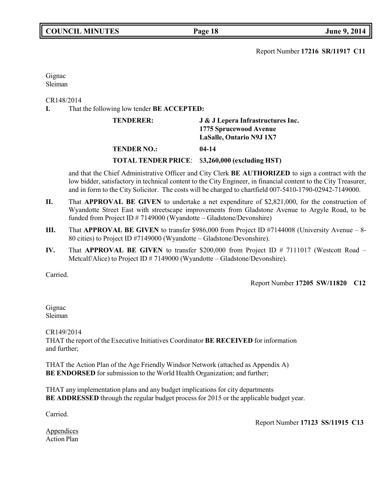Report Number **17216 SR/11917 C11**

Gignac Sleiman

CR148/2014

**I.** That the following low tender **BE ACCEPTED:**

| <b>TENDERER:</b>   | J & J Lepera Infrastructures Inc.               |  |
|--------------------|-------------------------------------------------|--|
|                    | 1775 Sprucewood Avenue                          |  |
|                    | <b>LaSalle, Ontario N9J 1X7</b>                 |  |
| <b>TENDER NO.:</b> | $04-14$                                         |  |
|                    | TOTAL TENDER PRICE: \$3,260,000 (excluding HST) |  |

and that the Chief Administrative Officer and City Clerk **BE AUTHORIZED** to sign a contract with the low bidder, satisfactory in technical content to the City Engineer, in financial content to the City Treasurer, and in form to the City Solicitor. The costs will be charged to chartfield 007-5410-1790-02942-7149000.

- **II.** That **APPROVAL BE GIVEN** to undertake a net expenditure of \$2,821,000, for the construction of Wyandotte Street East with streetscape improvements from Gladstone Avenue to Argyle Road, to be funded from Project ID # 7149000 (Wyandotte – Gladstone/Devonshire)
- **III.** That **APPROVAL BE GIVEN** to transfer \$986,000 from Project ID #7144008 (University Avenue 8- 80 cities) to Project ID #7149000 (Wyandotte – Gladstone/Devonshire).
- **IV.** That **APPROVAL BE GIVEN** to transfer \$200,000 from Project ID # 7111017 (Westcott Road Metcalf/Alice) to Project ID # 7149000 (Wyandotte – Gladstone/Devonshire).

Carried.

Report Number **17205 SW/11820 C12**

Gignac Sleiman

CR149/2014 THAT the report of the Executive Initiatives Coordinator **BE RECEIVED** for information and further;

THAT the Action Plan of the Age Friendly Windsor Network (attached as Appendix A) **BE ENDORSED** for submission to the World Health Organization; and further;

THAT any implementation plans and any budget implications for city departments **BE ADDRESSED** through the regular budget process for 2015 or the applicable budget year.

Carried.

Report Number **17123 SS/11915 C13**

Appendices Action Plan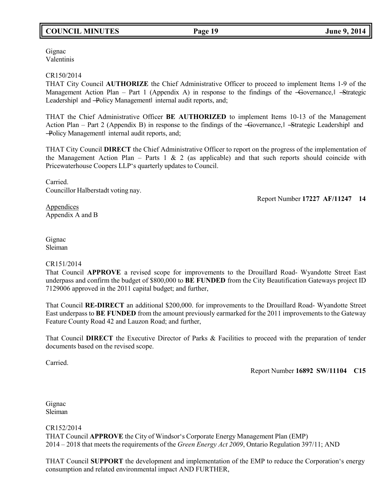## **COUNCIL MINUTES Page 19 June 9, 2014**

Gignac Valentinis

#### CR150/2014

THAT City Council **AUTHORIZE** the Chief Administrative Officer to proceed to implement Items 1-9 of the Management Action Plan – Part 1 (Appendix A) in response to the findings of the  $-G$ overnance,  $|\frac{d}{dx}$ -Strategic Leadershipl and -Policy Managementl internal audit reports, and;

THAT the Chief Administrative Officer **BE AUTHORIZED** to implement Items 10-13 of the Management Action Plan – Part 2 (Appendix B) in response to the findings of the -Governance, I -Strategic Leadershipl and ―Policy Management‖ internal audit reports, and;

THAT City Council **DIRECT** the Chief Administrative Officer to report on the progress of the implementation of the Management Action Plan – Parts 1  $\&$  2 (as applicable) and that such reports should coincide with Pricewaterhouse Coopers LLP's quarterly updates to Council.

Carried. Councillor Halberstadt voting nay.

Report Number **17227 AF/11247 14**

**Appendices** Appendix A and B

Gignac Sleiman

#### CR151/2014

That Council **APPROVE** a revised scope for improvements to the Drouillard Road- Wyandotte Street East underpass and confirm the budget of \$800,000 to **BE FUNDED** from the City Beautification Gateways project ID 7129006 approved in the 2011 capital budget; and further,

That Council **RE-DIRECT** an additional \$200,000. for improvements to the Drouillard Road- Wyandotte Street East underpass to **BE FUNDED** from the amount previously earmarked for the 2011 improvements to the Gateway Feature County Road 42 and Lauzon Road; and further,

That Council **DIRECT** the Executive Director of Parks & Facilities to proceed with the preparation of tender documents based on the revised scope.

Carried.

Report Number **16892 SW/11104 C15**

Gignac Sleiman

CR152/2014 THAT Council **APPROVE** the City of Windsor's Corporate Energy Management Plan (EMP) 2014 – 2018 that meets the requirements of the *Green Energy Act 2009*, Ontario Regulation 397/11; AND

THAT Council **SUPPORT** the development and implementation of the EMP to reduce the Corporation's energy consumption and related environmental impact AND FURTHER,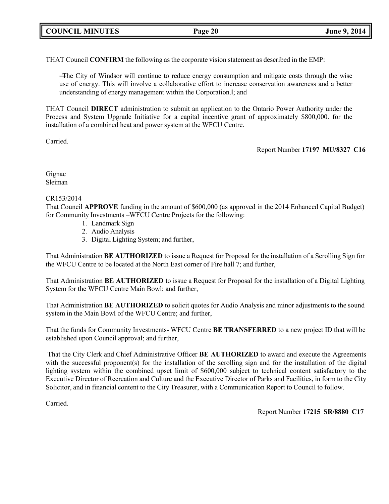THAT Council **CONFIRM** the following as the corporate vision statement as described in the EMP:

―The City of Windsor will continue to reduce energy consumption and mitigate costs through the wise use of energy. This will involve a collaborative effort to increase conservation awareness and a better understanding of energy management within the Corporation.‖; and

THAT Council **DIRECT** administration to submit an application to the Ontario Power Authority under the Process and System Upgrade Initiative for a capital incentive grant of approximately \$800,000. for the installation of a combined heat and power system at the WFCU Centre.

Carried.

Report Number **17197 MU/8327 C16**

Gignac Sleiman

#### CR153/2014

That Council **APPROVE** funding in the amount of \$600,000 (as approved in the 2014 Enhanced Capital Budget) for Community Investments –WFCU Centre Projects for the following:

- 1. Landmark Sign
- 2. Audio Analysis
- 3. Digital Lighting System; and further,

That Administration **BE AUTHORIZED** to issue a Request for Proposal for the installation of a Scrolling Sign for the WFCU Centre to be located at the North East corner of Fire hall 7; and further,

That Administration **BE AUTHORIZED** to issue a Request for Proposal for the installation of a Digital Lighting System for the WFCU Centre Main Bowl; and further,

That Administration **BE AUTHORIZED** to solicit quotes for Audio Analysis and minor adjustments to the sound system in the Main Bowl of the WFCU Centre; and further,

That the funds for Community Investments- WFCU Centre **BE TRANSFERRED** to a new project ID that will be established upon Council approval; and further,

That the City Clerk and Chief Administrative Officer **BE AUTHORIZED** to award and execute the Agreements with the successful proponent(s) for the installation of the scrolling sign and for the installation of the digital lighting system within the combined upset limit of \$600,000 subject to technical content satisfactory to the Executive Director of Recreation and Culture and the Executive Director of Parks and Facilities, in form to the City Solicitor, and in financial content to the City Treasurer, with a Communication Report to Council to follow.

Carried.

Report Number **17215 SR/8880 C17**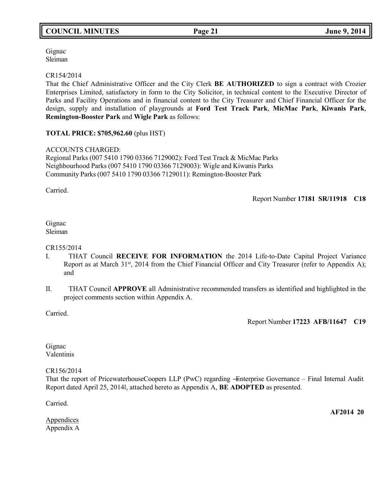Gignac Sleiman

CR154/2014

That the Chief Administrative Officer and the City Clerk **BE AUTHORIZED** to sign a contract with Crozier Enterprises Limited, satisfactory in form to the City Solicitor, in technical content to the Executive Director of Parks and Facility Operations and in financial content to the City Treasurer and Chief Financial Officer for the design, supply and installation of playgrounds at **Ford Test Track Park**, **MicMac Park**, **Kiwanis Park**, **Remington-Booster Park** and **Wigle Park** as follows:

### **TOTAL PRICE: \$705,962.60** (plus HST)

#### ACCOUNTS CHARGED:

Regional Parks (007 5410 1790 03366 7129002): Ford Test Track & MicMac Parks Neighbourhood Parks (007 5410 1790 03366 7129003): Wigle and Kiwanis Parks Community Parks (007 5410 1790 03366 7129011): Remington-Booster Park

Carried.

Report Number **17181 SR/11918 C18**

Gignac Sleiman

#### CR155/2014

- I. THAT Council **RECEIVE FOR INFORMATION** the 2014 Life-to-Date Capital Project Variance Report as at March 31<sup>st</sup>, 2014 from the Chief Financial Officer and City Treasurer (refer to Appendix A); and
- II. THAT Council **APPROVE** all Administrative recommended transfers as identified and highlighted in the project comments section within Appendix A.

Carried.

Report Number **17223 AFB/11647 C19**

Gignac Valentinis

CR156/2014

That the report of PricewaterhouseCoopers LLP (PwC) regarding ―Enterprise Governance – Final Internal Audit Report dated April 25, 2014‖, attached hereto as Appendix A, **BE ADOPTED** as presented.

Carried.

**AF2014 20**

**Appendices** Appendix A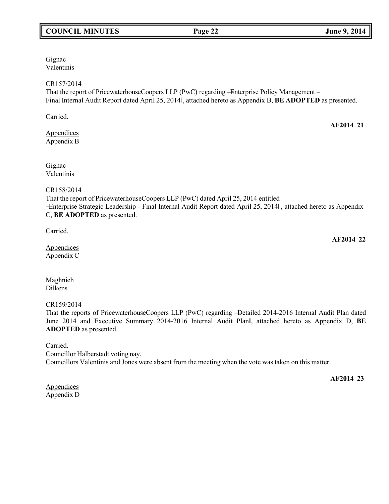## **COUNCIL MINUTES Page 22 June 9, 2014**

Gignac Valentinis

### CR157/2014

That the report of PricewaterhouseCoopers LLP (PwC) regarding -Enterprise Policy Management – Final Internal Audit Report dated April 25, 2014‖, attached hereto as Appendix B, **BE ADOPTED** as presented.

Carried.

Appendices Appendix B

Gignac Valentinis

#### CR158/2014

That the report of PricewaterhouseCoopers LLP (PwC) dated April 25, 2014 entitled ―Enterprise Strategic Leadership - Final Internal Audit Report dated April 25, 2014‖ , attached hereto as Appendix C, **BE ADOPTED** as presented.

Carried.

**Appendices** Appendix C

Maghnieh Dilkens

### CR159/2014

That the reports of PricewaterhouseCoopers LLP (PwC) regarding ―Detailed 2014-2016 Internal Audit Plan dated June 2014 and Executive Summary 2014-2016 Internal Audit Planl, attached hereto as Appendix D, **BE ADOPTED** as presented.

Carried. Councillor Halberstadt voting nay. Councillors Valentinis and Jones were absent from the meeting when the vote was taken on this matter.

**Appendices** Appendix D

**AF2014 21**

**AF2014 22**

**AF2014 23**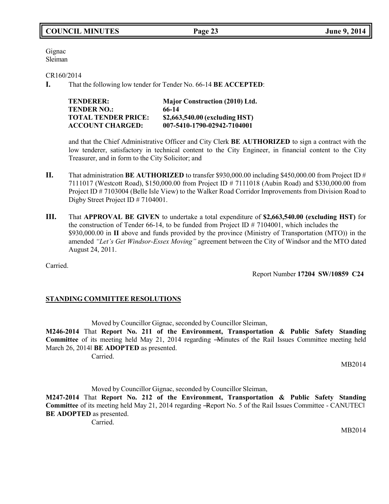Gignac Sleiman

CR160/2014

<span id="page-22-0"></span>**I.** That the following low tender for Tender No. 66-14 **BE ACCEPTED**:

| <b>TENDERER:</b>           | <b>Major Construction (2010) Ltd.</b> |
|----------------------------|---------------------------------------|
| <b>TENDER NO.:</b>         | 66-14                                 |
| <b>TOTAL TENDER PRICE:</b> | \$2,663,540.00 (excluding HST)        |
| <b>ACCOUNT CHARGED:</b>    | 007-5410-1790-02942-7104001           |

and that the Chief Administrative Officer and City Clerk **BE AUTHORIZED** to sign a contract with the low tenderer, satisfactory in technical content to the City Engineer, in financial content to the City Treasurer, and in form to the City Solicitor; and

- **II.** That administration **BE AUTHORIZED** to transfer \$930,000.00 including \$450,000.00 from Project ID # 7111017 (Westcott Road), \$150,000.00 from Project ID # 7111018 (Aubin Road) and \$330,000.00 from Project ID # 7103004 (Belle Isle View) to the Walker Road Corridor Improvements from Division Road to Digby Street Project ID # 7104001.
- **III.** That **APPROVAL BE GIVEN** to undertake a total expenditure of **\$2,663,540.00 (excluding HST)** for the construction of Tender 66-14, to be funded from Project ID  $\# 7104001$ , which includes the \$930,000.00 in **II** above and funds provided by the province (Ministry of Transportation (MTO)) in the amended *"Let's Get Windsor-Essex Moving"* agreement between the City of Windsor and the MTO dated August 24, 2011.

Carried.

Report Number **17204 SW/10859 C24**

## **STANDING COMMITTEE RESOLUTIONS**

Moved by Councillor Gignac, seconded by Councillor Sleiman,

**M246-2014** That **Report No. 211 of the Environment, Transportation & Public Safety Standing Committee** of its meeting held May 21, 2014 regarding ―Minutes of the Rail Issues Committee meeting held March 26, 2014‖ **BE ADOPTED** as presented.

Carried.

MB2014

Moved by Councillor Gignac, seconded by Councillor Sleiman,

**M247-2014** That **Report No. 212 of the Environment, Transportation & Public Safety Standing** Committee of its meeting held May 21, 2014 regarding -Report No. 5 of the Rail Issues Committee - CANUTECI **BE ADOPTED** as presented.

Carried.

MB2014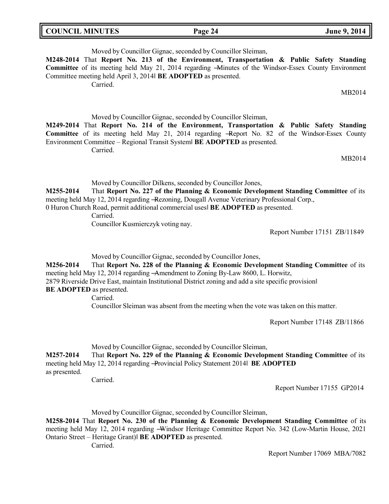| <b>COUNCIL MINUTES</b> | Page 24 | <b>June 9, 2014</b> |
|------------------------|---------|---------------------|
|------------------------|---------|---------------------|

| Moved by Councillor Gignac, seconded by Councillor Sleiman,                                                                                                                                                                                                                                                                                                          |  |
|----------------------------------------------------------------------------------------------------------------------------------------------------------------------------------------------------------------------------------------------------------------------------------------------------------------------------------------------------------------------|--|
| M248-2014 That Report No. 213 of the Environment, Transportation & Public Safety Standing                                                                                                                                                                                                                                                                            |  |
| Committee of its meeting held May 21, 2014 regarding -Minutes of the Windsor-Essex County Environment<br>Committee meeting held April 3, 2014 BE ADOPTED as presented.<br>Carried.                                                                                                                                                                                   |  |
| MB2014                                                                                                                                                                                                                                                                                                                                                               |  |
| Moved by Councillor Gignac, seconded by Councillor Sleiman,<br>M249-2014 That Report No. 214 of the Environment, Transportation & Public Safety Standing<br><b>Committee</b> of its meeting held May 21, 2014 regarding -Report No. 82 of the Windsor-Essex County<br>Environment Committee – Regional Transit System BE ADOPTED as presented.<br>Carried.<br>MB2014 |  |

Moved by Councillor Dilkens, seconded by Councillor Jones,

**M255-2014** That **Report No. 227 of the Planning & Economic Development Standing Committee** of its meeting held May 12, 2014 regarding ―Rezoning, Dougall Avenue Veterinary Professional Corp., 0 Huron Church Road, permit additional commercial uses‖ **BE ADOPTED** as presented.

Carried.

Councillor Kusmierczyk voting nay.

Report Number 17151 ZB/11849

Moved by Councillor Gignac, seconded by Councillor Jones,

**M256-2014** That **Report No. 228 of the Planning & Economic Development Standing Committee** of its meeting held May 12, 2014 regarding ―Amendment to Zoning By-Law 8600, L. Horwitz, 2879 Riverside Drive East, maintain Institutional District zoning and add a site specific provision‖

**BE ADOPTED** as presented.

Carried.

Councillor Sleiman was absent from the meeting when the vote was taken on this matter.

Report Number 17148 ZB/11866

Moved by Councillor Gignac, seconded by Councillor Sleiman,

**M257-2014** That **Report No. 229 of the Planning & Economic Development Standing Committee** of its meeting held May 12, 2014 regarding ―Provincial Policy Statement 2014‖ **BE ADOPTED** as presented.

Carried.

Report Number 17155 GP2014

Moved by Councillor Gignac, seconded by Councillor Sleiman,

**M258-2014** That **Report No. 230 of the Planning & Economic Development Standing Committee** of its meeting held May 12, 2014 regarding ―Windsor Heritage Committee Report No. 342 (Low-Martin House, 2021 Ontario Street – Heritage Grant)‖ **BE ADOPTED** as presented.

Carried.

Report Number 17069 MBA/7082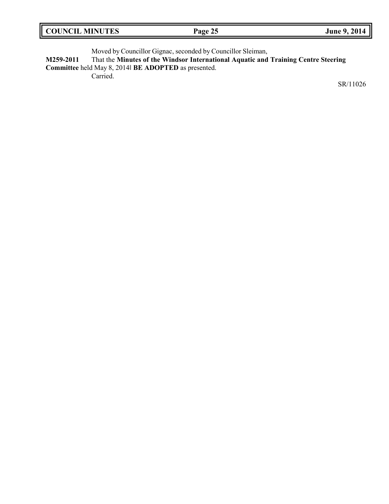| <b>COUNCIL MINUTES</b> | Page 25 | June 9, 2014 |
|------------------------|---------|--------------|
|                        |         |              |

Moved by Councillor Gignac, seconded by Councillor Sleiman,

**M259-2011** That the **Minutes of the Windsor International Aquatic and Training Centre Steering Committee** held May 8, 2014‖ **BE ADOPTED** as presented.

Carried.

SR/11026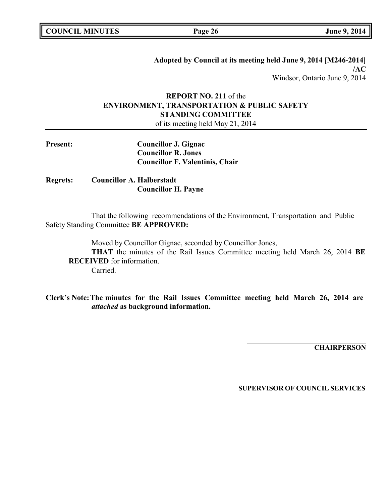| <b>COUNCIL MINUTES</b> |  |
|------------------------|--|
|------------------------|--|

**COUNCIL EXECUTE: COUNCIL EXECUTE: COUNCIL EXECUTE:**  $\frac{1}{2}$  **June** 9, 2014

**Adopted by Council at its meeting held June 9, 2014 [M246-2014] /AC** Windsor, Ontario June 9, 2014

# **REPORT NO. 211** of the **ENVIRONMENT, TRANSPORTATION & PUBLIC SAFETY STANDING COMMITTEE**

of its meeting held May 21, 2014

| <b>Present:</b> | <b>Councillor J. Gignac</b>            |
|-----------------|----------------------------------------|
|                 | <b>Councillor R. Jones</b>             |
|                 | <b>Councillor F. Valentinis, Chair</b> |

**Regrets: Councillor A. Halberstadt Councillor H. Payne**

That the following recommendations of the Environment, Transportation and Public Safety Standing Committee **BE APPROVED:**

Moved by Councillor Gignac, seconded by Councillor Jones, **THAT** the minutes of the Rail Issues Committee meeting held March 26, 2014 **BE RECEIVED** for information. Carried.

**Clerk's Note:The minutes for the Rail Issues Committee meeting held March 26, 2014 are** *attached* **as background information.**

**CHAIRPERSON**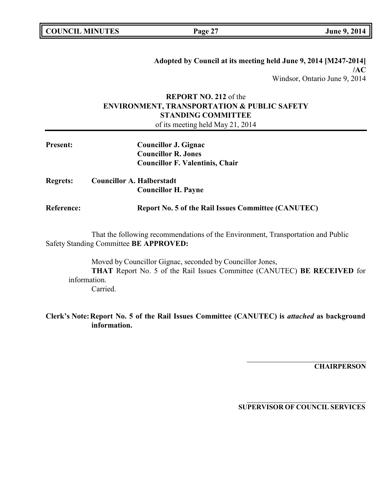| <b>COUNCIL MINUTES</b> |  |
|------------------------|--|
|------------------------|--|

**COUNCIL EXECUTE: COUNCIL EXECUTE: COUNCIL EXECUTE:**  $\frac{1}{2}$  **June** 9, 2014

**Adopted by Council at its meeting held June 9, 2014 [M247-2014] /AC** Windsor, Ontario June 9, 2014

## **REPORT NO. 212** of the **ENVIRONMENT, TRANSPORTATION & PUBLIC SAFETY STANDING COMMITTEE** of its meeting held May 21, 2014

**Present: Councillor J. Gignac Councillor R. Jones Councillor F. Valentinis, Chair Regrets: Councillor A. Halberstadt Councillor H. Payne Reference: Report No. 5 of the Rail Issues Committee (CANUTEC)**

That the following recommendations of the Environment, Transportation and Public Safety Standing Committee **BE APPROVED:**

Moved by Councillor Gignac, seconded by Councillor Jones, **THAT** Report No. 5 of the Rail Issues Committee (CANUTEC) **BE RECEIVED** for information. Carried.

**Clerk's Note:Report No. 5 of the Rail Issues Committee (CANUTEC) is** *attached* **as background information.**

**CHAIRPERSON**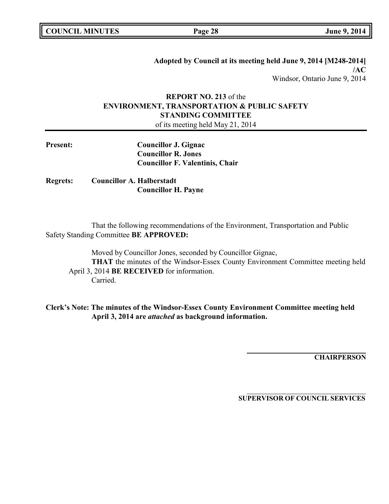**Adopted by Council at its meeting held June 9, 2014 [M248-2014] /AC** Windsor, Ontario June 9, 2014

# **REPORT NO. 213** of the **ENVIRONMENT, TRANSPORTATION & PUBLIC SAFETY STANDING COMMITTEE**

of its meeting held May 21, 2014

| <b>Present:</b> | Councillor J. Gignac                   |
|-----------------|----------------------------------------|
|                 | <b>Councillor R. Jones</b>             |
|                 | <b>Councillor F. Valentinis, Chair</b> |

**Regrets: Councillor A. Halberstadt Councillor H. Payne**

That the following recommendations of the Environment, Transportation and Public Safety Standing Committee **BE APPROVED:**

Moved by Councillor Jones, seconded by Councillor Gignac, **THAT** the minutes of the Windsor-Essex County Environment Committee meeting held April 3, 2014 **BE RECEIVED** for information. Carried.

**Clerk's Note: The minutes of the Windsor-Essex County Environment Committee meeting held April 3, 2014 are** *attached* **as background information.**

**CHAIRPERSON**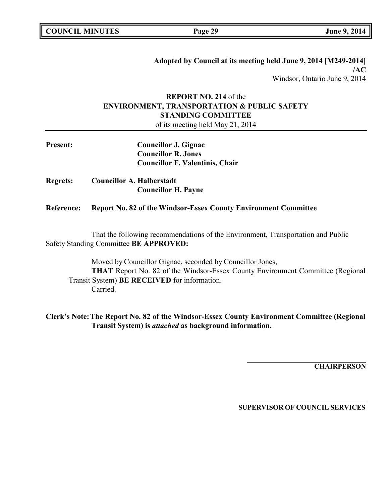**Adopted by Council at its meeting held June 9, 2014 [M249-2014] /AC** Windsor, Ontario June 9, 2014

# **REPORT NO. 214** of the **ENVIRONMENT, TRANSPORTATION & PUBLIC SAFETY STANDING COMMITTEE**

of its meeting held May 21, 2014

| <b>Present:</b>   | <b>Councillor J. Gignac</b>                                                      |
|-------------------|----------------------------------------------------------------------------------|
|                   | <b>Councillor R. Jones</b>                                                       |
|                   | <b>Councillor F. Valentinis, Chair</b>                                           |
| <b>Regrets:</b>   | <b>Councillor A. Halberstadt</b>                                                 |
|                   | <b>Councillor H. Payne</b>                                                       |
| <b>Reference:</b> | <b>Report No. 82 of the Windsor-Essex County Environment Committee</b>           |
|                   | That the following recommendations of the Environment, Transportation and Public |

Safety Standing Committee **BE APPROVED:**

Moved by Councillor Gignac, seconded by Councillor Jones, **THAT** Report No. 82 of the Windsor-Essex County Environment Committee (Regional Transit System) **BE RECEIVED** for information. Carried.

**Clerk's Note:The Report No. 82 of the Windsor-Essex County Environment Committee (Regional Transit System) is** *attached* **as background information.**

**CHAIRPERSON**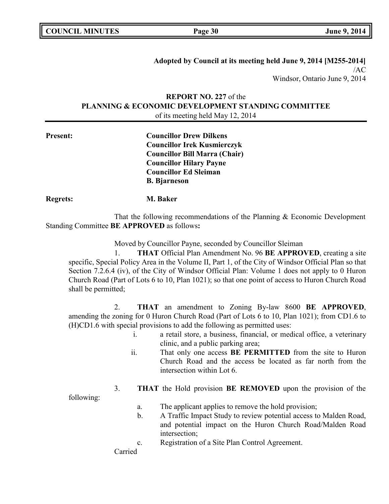| <b>COUNCIL MINUTES</b> |  |
|------------------------|--|
|------------------------|--|

**COUNCIL EXECUTE: COUNCIL EXECUTE: COUNCIL EXECUTE:**  $\frac{1}{2}$  **June** 9, 2014

**Adopted by Council at its meeting held June 9, 2014 [M255-2014]** /AC Windsor, Ontario June 9, 2014

## **REPORT NO. 227** of the **PLANNING & ECONOMIC DEVELOPMENT STANDING COMMITTEE** of its meeting held May 12, 2014

**Present: Councillor Drew Dilkens Councillor Irek Kusmierczyk Councillor Bill Marra (Chair) Councillor Hilary Payne Councillor Ed Sleiman B. Bjarneson**

**Regrets: M. Baker**

That the following recommendations of the Planning & Economic Development Standing Committee **BE APPROVED** as follows**:**

Moved by Councillor Payne, seconded by Councillor Sleiman

1. **THAT** Official Plan Amendment No. 96 **BE APPROVED**, creating a site specific, Special Policy Area in the Volume II, Part 1, of the City of Windsor Official Plan so that Section 7.2.6.4 (iv), of the City of Windsor Official Plan: Volume 1 does not apply to 0 Huron Church Road (Part of Lots 6 to 10, Plan 1021); so that one point of access to Huron Church Road shall be permitted;

2. **THAT** an amendment to Zoning By-law 8600 **BE APPROVED**, amending the zoning for 0 Huron Church Road (Part of Lots 6 to 10, Plan 1021); from CD1.6 to (H)CD1.6 with special provisions to add the following as permitted uses:

- i. a retail store, a business, financial, or medical office, a veterinary clinic, and a public parking area;
- ii. That only one access **BE PERMITTED** from the site to Huron Church Road and the access be located as far north from the intersection within Lot 6.
- 3. **THAT** the Hold provision **BE REMOVED** upon the provision of the

following:

- a. The applicant applies to remove the hold provision;
- b. A Traffic Impact Study to review potential access to Malden Road, and potential impact on the Huron Church Road/Malden Road intersection;
- c. Registration of a Site Plan Control Agreement.

Carried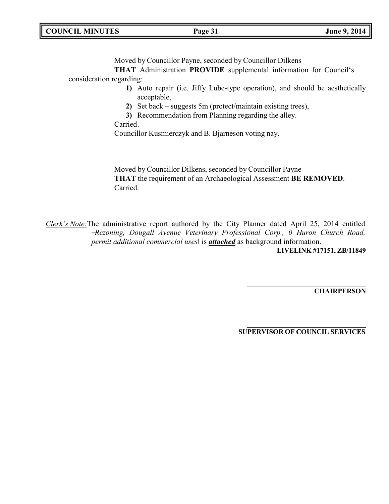| <b>COUNCIL MINUTES</b> | Page 31 | June 9, 2014 |
|------------------------|---------|--------------|
|                        |         |              |

Moved by Councillor Payne, seconded by Councillor Dilkens

**THAT** Administration **PROVIDE** supplemental information for Council's consideration regarding:

- **1)** Auto repair (i.e. Jiffy Lube-type operation), and should be aesthetically acceptable,
- **2)** Set back suggests 5m (protect/maintain existing trees),
- **3)** Recommendation from Planning regarding the alley.

Carried.

Councillor Kusmierczyk and B. Bjarneson voting nay.

Moved by Councillor Dilkens, seconded by Councillor Payne **THAT** the requirement of an Archaeological Assessment **BE REMOVED**. Carried.

*Clerk's Note:*The administrative report authored by the City Planner dated April 25, 2014 entitled ―*Rezoning, Dougall Avenue Veterinary Professional Corp., 0 Huron Church Road, permit additional commercial uses*‖ is *attached* as background information. **LIVELINK #17151, ZB/11849**

**CHAIRPERSON**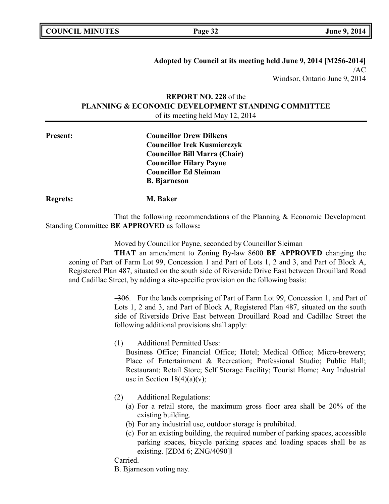| <b>COUNCIL MINUTES</b> |  |
|------------------------|--|
|------------------------|--|

**COUNCIL EXECUTE: COUNCIL EXECUTE: Page 32 June 9, 2014** 

**Adopted by Council at its meeting held June 9, 2014 [M256-2014]** /AC Windsor, Ontario June 9, 2014

## **REPORT NO. 228** of the **PLANNING & ECONOMIC DEVELOPMENT STANDING COMMITTEE** of its meeting held May 12, 2014

**Present: Councillor Drew Dilkens Councillor Irek Kusmierczyk Councillor Bill Marra (Chair) Councillor Hilary Payne Councillor Ed Sleiman B. Bjarneson**

**Regrets: M. Baker**

That the following recommendations of the Planning & Economic Development Standing Committee **BE APPROVED** as follows**:**

Moved by Councillor Payne, seconded by Councillor Sleiman

**THAT** an amendment to Zoning By-law 8600 **BE APPROVED** changing the zoning of Part of Farm Lot 99, Concession 1 and Part of Lots 1, 2 and 3, and Part of Block A, Registered Plan 487, situated on the south side of Riverside Drive East between Drouillard Road and Cadillac Street, by adding a site-specific provision on the following basis:

> ―306. For the lands comprising of Part of Farm Lot 99, Concession 1, and Part of Lots 1, 2 and 3, and Part of Block A, Registered Plan 487, situated on the south side of Riverside Drive East between Drouillard Road and Cadillac Street the following additional provisions shall apply:

(1) Additional Permitted Uses:

Business Office; Financial Office; Hotel; Medical Office; Micro-brewery; Place of Entertainment & Recreation; Professional Studio; Public Hall; Restaurant; Retail Store; Self Storage Facility; Tourist Home; Any Industrial use in Section  $18(4)(a)(v)$ ;

- (2) Additional Regulations:
	- (a) For a retail store, the maximum gross floor area shall be 20% of the existing building.
	- (b) For any industrial use, outdoor storage is prohibited.
	- (c) For an existing building, the required number of parking spaces, accessible parking spaces, bicycle parking spaces and loading spaces shall be as existing. [ZDM 6; ZNG/4090]‖

Carried.

B. Bjarneson voting nay.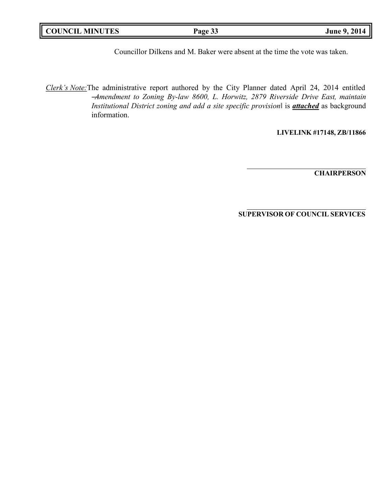| <b>COUNCIL MINUTES</b> | Page 33 | June 9, 2014 |
|------------------------|---------|--------------|
|                        |         |              |

Councillor Dilkens and M. Baker were absent at the time the vote was taken.

*Clerk's Note:*The administrative report authored by the City Planner dated April 24, 2014 entitled ―*Amendment to Zoning By-law 8600, L. Horwitz, 2879 Riverside Drive East, maintain Institutional District zoning and add a site specific provision*‖ is *attached* as background information.

**LIVELINK #17148, ZB/11866**

**CHAIRPERSON**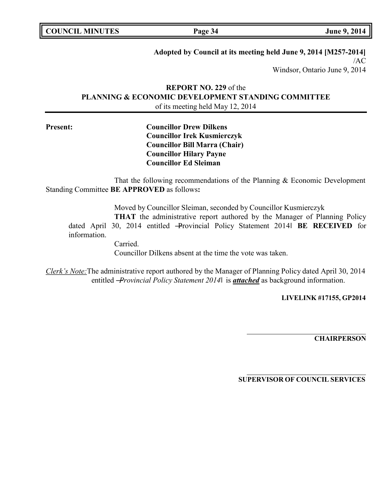| <b>COUNCIL MINUTES</b> |  |
|------------------------|--|
|------------------------|--|

**COUNCIL EXECUTE: COUNCIL EXECUTE: Page 34 June 9, 2014** 

### **Adopted by Council at its meeting held June 9, 2014 [M257-2014]**

/AC Windsor, Ontario June 9, 2014

## **REPORT NO. 229** of the **PLANNING & ECONOMIC DEVELOPMENT STANDING COMMITTEE** of its meeting held May 12, 2014

**Present: Councillor Drew Dilkens Councillor Irek Kusmierczyk Councillor Bill Marra (Chair) Councillor Hilary Payne Councillor Ed Sleiman**

That the following recommendations of the Planning & Economic Development Standing Committee **BE APPROVED** as follows**:**

Moved by Councillor Sleiman, seconded by Councillor Kusmierczyk **THAT** the administrative report authored by the Manager of Planning Policy dated April 30, 2014 entitled ―Provincial Policy Statement 2014‖ **BE RECEIVED** for information.

> Carried. Councillor Dilkens absent at the time the vote was taken.

*Clerk's Note:*The administrative report authored by the Manager of Planning Policy dated April 30, 2014 entitled ―*Provincial Policy Statement 2014*‖ is *attached* as background information.

**LIVELINK #17155, GP2014**

**CHAIRPERSON**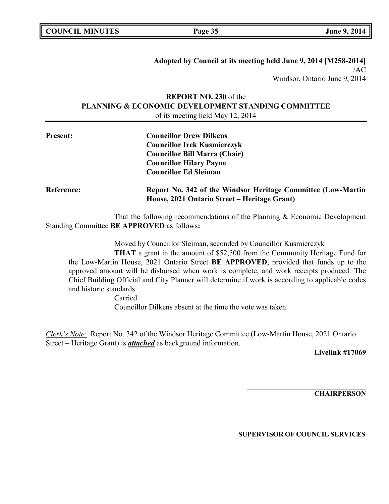**Adopted by Council at its meeting held June 9, 2014 [M258-2014]** /AC Windsor, Ontario June 9, 2014

## **REPORT NO. 230** of the **PLANNING & ECONOMIC DEVELOPMENT STANDING COMMITTEE** of its meeting held May 12, 2014

| <b>Present:</b>   | <b>Councillor Drew Dilkens</b><br><b>Councillor Irek Kusmierczyk</b><br><b>Councillor Bill Marra (Chair)</b><br><b>Councillor Hilary Payne</b><br><b>Councillor Ed Sleiman</b> |
|-------------------|--------------------------------------------------------------------------------------------------------------------------------------------------------------------------------|
| <b>Reference:</b> | Report No. 342 of the Windsor Heritage Committee (Low-Martin<br>House, 2021 Ontario Street – Heritage Grant)                                                                   |

That the following recommendations of the Planning & Economic Development Standing Committee **BE APPROVED** as follows**:**

Moved by Councillor Sleiman, seconded by Councillor Kusmierczyk

**THAT** a grant in the amount of \$52,500 from the Community Heritage Fund for the Low-Martin House, 2021 Ontario Street **BE APPROVED**, provided that funds up to the approved amount will be disbursed when work is complete, and work receipts produced. The Chief Building Official and City Planner will determine if work is according to applicable codes and historic standards.

> Carried. Councillor Dilkens absent at the time the vote was taken.

*Clerk's Note:* Report No. 342 of the Windsor Heritage Committee (Low-Martin House, 2021 Ontario Street – Heritage Grant) is *attached* as background information.

**Livelink #17069**

**CHAIRPERSON**